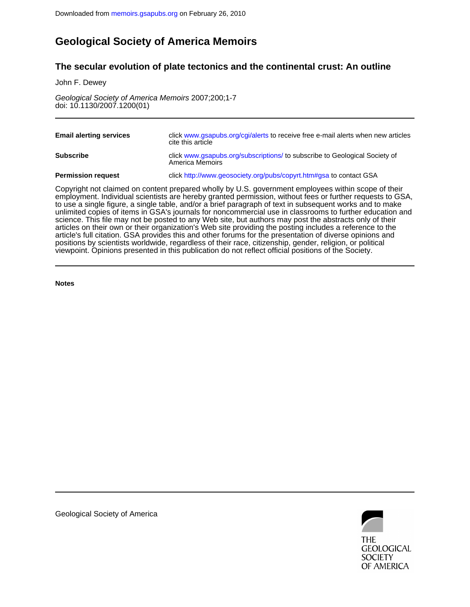## **Geological Society of America Memoirs**

### **The secular evolution of plate tectonics and the continental crust: An outline**

John F. Dewey

doi: 10.1130/2007.1200(01) Geological Society of America Memoirs 2007;200;1-7

| <b>Email alerting services</b> | click www.gsapubs.org/cgi/alerts to receive free e-mail alerts when new articles<br>cite this article |
|--------------------------------|-------------------------------------------------------------------------------------------------------|
| <b>Subscribe</b>               | click www.gsapubs.org/subscriptions/to subscribe to Geological Society of<br>America Memoirs          |
| <b>Permission request</b>      | click http://www.geosociety.org/pubs/copyrt.htm#gsa to contact GSA                                    |

viewpoint. Opinions presented in this publication do not reflect official positions of the Society. positions by scientists worldwide, regardless of their race, citizenship, gender, religion, or political article's full citation. GSA provides this and other forums for the presentation of diverse opinions and articles on their own or their organization's Web site providing the posting includes a reference to the science. This file may not be posted to any Web site, but authors may post the abstracts only of their unlimited copies of items in GSA's journals for noncommercial use in classrooms to further education and to use a single figure, a single table, and/or a brief paragraph of text in subsequent works and to make employment. Individual scientists are hereby granted permission, without fees or further requests to GSA, Copyright not claimed on content prepared wholly by U.S. government employees within scope of their

**Notes**



Geological Society of America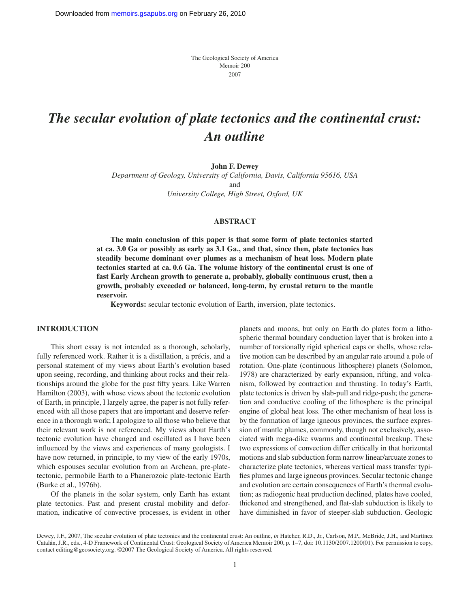The Geological Society of America Memoir 200 2007

# *The secular evolution of plate tectonics and the continental crust: An outline*

**John F. Dewey**

*Department of Geology, University of California, Davis, California 95616, USA* and *University College, High Street, Oxford, UK*

#### **ABSTRACT**

**The main conclusion of this paper is that some form of plate tectonics started at ca. 3.0 Ga or possibly as early as 3.1 Ga., and that, since then, plate tectonics has steadily become dominant over plumes as a mechanism of heat loss. Modern plate tectonics started at ca. 0.6 Ga. The volume history of the continental crust is one of fast Early Archean growth to generate a, probably, globally continuous crust, then a growth, probably exceeded or balanced, long-term, by crustal return to the mantle reservoir.**

**Keywords:** secular tectonic evolution of Earth, inversion, plate tectonics.

#### **INTRODUCTION**

This short essay is not intended as a thorough, scholarly, fully referenced work. Rather it is a distillation, a précis, and a personal statement of my views about Earth's evolution based upon seeing, recording, and thinking about rocks and their relationships around the globe for the past fifty years. Like Warren Hamilton (2003), with whose views about the tectonic evolution of Earth, in principle, I largely agree, the paper is not fully referenced with all those papers that are important and deserve reference in a thorough work; I apologize to all those who believe that their relevant work is not referenced. My views about Earth's tectonic evolution have changed and oscillated as I have been influenced by the views and experiences of many geologists. I have now returned, in principle, to my view of the early 1970s, which espouses secular evolution from an Archean, pre-platetectonic, permobile Earth to a Phanerozoic plate-tectonic Earth (Burke et al., 1976b).

Of the planets in the solar system, only Earth has extant plate tectonics. Past and present crustal mobility and deformation, indicative of convective processes, is evident in other

planets and moons, but only on Earth do plates form a lithospheric thermal boundary conduction layer that is broken into a number of torsionally rigid spherical caps or shells, whose relative motion can be described by an angular rate around a pole of rotation. One-plate (continuous lithosphere) planets (Solomon, 1978) are characterized by early expansion, rifting, and volcanism, followed by contraction and thrusting. In today's Earth, plate tectonics is driven by slab-pull and ridge-push; the generation and conductive cooling of the lithosphere is the principal engine of global heat loss. The other mechanism of heat loss is by the formation of large igneous provinces, the surface expression of mantle plumes, commonly, though not exclusively, associated with mega-dike swarms and continental breakup. These two expressions of convection differ critically in that horizontal motions and slab subduction form narrow linear/arcuate zones to characterize plate tectonics, whereas vertical mass transfer typifies plumes and large igneous provinces. Secular tectonic change and evolution are certain consequences of Earth's thermal evolution; as radiogenic heat production declined, plates have cooled, thickened and strengthened, and flat-slab subduction is likely to have diminished in favor of steeper-slab subduction. Geologic

Dewey, J.F., 2007, The secular evolution of plate tectonics and the continental crust: An outline, *in* Hatcher, R.D., Jr., Carlson, M.P., McBride, J.H., and Martínez Catalán, J.R., eds., 4-D Framework of Continental Crust: Geological Society of America Memoir 200, p. 1–7, doi: 10.1130/2007.1200(01). For permission to copy, contact editing@geosociety.org. ©2007 The Geological Society of America. All rights reserved.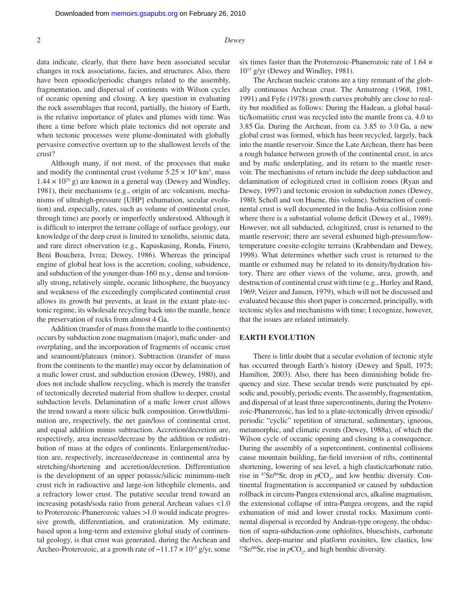#### 2 *Dewey*

data indicate, clearly, that there have been associated secular changes in rock associations, facies, and structures. Also, there have been episodic/periodic changes related to the assembly, fragmentation, and dispersal of continents with Wilson cycles of oceanic opening and closing. A key question in evaluating the rock assemblages that record, partially, the history of Earth, is the relative importance of plates and plumes with time. Was there a time before which plate tectonics did not operate and when tectonic processes were plume-dominated with globally pervasive convective overturn up to the shallowest levels of the crust?

Although many, if not most, of the processes that make and modify the continental crust (volume  $5.25 \times 10^9$  km<sup>3</sup>, mass  $1.44 \times 10^{25}$  g) are known in a general way (Dewey and Windley, 1981), their mechanisms (e.g., origin of arc volcanism, mechanisms of ultrahigh-pressure [UHP] exhumation, secular evolution) and, especially, rates, such as volume of continental crust, through time) are poorly or imperfectly understood. Although it is difficult to interpret the terrane collage of surface geology, our knowledge of the deep crust is limited to xenoliths, seismic data, and rare direct observation (e.g., Kapuskasing, Ronda, Finero, Beni Bouchera, Ivrea; Dewey, 1986). Whereas the principal engine of global heat loss is the accretion, cooling, subsidence, and subduction of the younger-than-160 m.y., dense and torsionally strong, relatively simple, oceanic lithosphere, the buoyancy and weakness of the exceedingly complicated continental crust allows its growth but prevents, at least in the extant plate-tectonic regime, its wholesale recycling back into the mantle, hence the preservation of rocks from almost 4 Ga.

Addition (transfer of mass from the mantle to the continents) occurs by subduction zone magmatism (major), mafic under- and overplating, and the incorporation of fragments of oceanic crust and seamount/plateaux (minor). Subtraction (transfer of mass from the continents to the mantle) may occur by delamination of a mafic lower crust, and subduction erosion (Dewey, 1980), and does not include shallow recycling, which is merely the transfer of tectonically decreted material from shallow to deeper, crustal subduction levels. Delamination of a mafic lower crust allows the trend toward a more silicic bulk composition. Growth/diminution are, respectively, the net gain/loss of continental crust, and equal addition minus subtraction. Accretion/decretion are, respectively, area increase/decrease by the addition or redistribution of mass at the edges of continents. Enlargement/reduction are, respectively, increase/decrease in continental area by stretching/shortening and accretion/decretion. Differentiation is the development of an upper potassic/silicic minimum-melt crust rich in radioactive and large-ion lithophile elements, and a refractory lower crust. The putative secular trend toward an increasing potash/soda ratio from general Archean values <1.0 to Proterozoic-Phanerozoic values >1.0 would indicate progressive growth, differentiation, and cratonization. My estimate, based upon a long-term and extensive global study of continental geology, is that crust was generated, during the Archean and Archeo-Proterozoic, at a growth rate of  $\sim$ 11.17  $\times$  10<sup>15</sup> g/yr, some six times faster than the Proterozoic-Phanerozoic rate of 1.64 × 1015 g/yr (Dewey and Windley, 1981).

The Archean nucleic cratons are a tiny remnant of the globally continuous Archean crust. The Armstrong (1968, 1981, 1991) and Fyfe (1978) growth curves probably are close to reality but modified as follows: During the Hadean, a global basaltic/komatiitic crust was recycled into the mantle from ca. 4.0 to 3.85 Ga. During the Archean, from ca. 3.85 to 3.0 Ga, a new global crust was formed, which has been recycled, largely, back into the mantle reservoir. Since the Late Archean, there has been a rough balance between growth of the continental crust, in arcs and by mafic underplating, and its return to the mantle reservoir. The mechanisms of return include the deep subduction and delamination of eclogitized crust in collision zones (Ryan and Dewey, 1997) and tectonic erosion in subduction zones (Dewey, 1980; Scholl and von Huene, this volume). Subtraction of continental crust is well documented in the India-Asia collision zone where there is a substantial volume deficit (Dewey et al., 1989). However, not all subducted, eclogitized, crust is returned to the mantle reservoir; there are several exhumed high-pressure/lowtemperature coesite-eclogite terrains (Krabbendam and Dewey, 1998). What determines whether such crust is returned to the mantle or exhumed may be related to its density/hydration history. There are other views of the volume, area, growth, and destruction of continental crust with time (e.g., Hurley and Rand, 1969; Veizer and Jansen, 1979), which will not be discussed and evaluated because this short paper is concerned, principally, with tectonic styles and mechanisms with time; I recognize, however, that the issues are related intimately.

#### **EARTH EVOLUTION**

There is little doubt that a secular evolution of tectonic style has occurred through Earth's history (Dewey and Spall, 1975; Hamilton, 2003). Also, there has been diminishing bolide frequency and size. These secular trends were punctuated by episodic and, possibly, periodic events. The assembly, fragmentation, and dispersal of at least three supercontinents, during the Proterozoic-Phanerozoic, has led to a plate-tectonically driven episodic/ periodic "cyclic" repetition of structural, sedimentary, igneous, metamorphic, and climatic events (Dewey, 1988a), of which the Wilson cycle of oceanic opening and closing is a consequence. During the assembly of a supercontinent, continental collisions cause mountain building, far-field inversion of rifts, continental shortening, lowering of sea level, a high clastic/carbonate ratio, rise in  $87\text{Sr}/86\text{Sr}$ , drop in  $pCO_2$ , and low benthic diversity. Continental fragmentation is accompanied or caused by subduction rollback in circum-Pangea extensional arcs, alkaline magmatism, the extensional collapse of intra-Pangea orogens, and the rapid exhumation of mid and lower crustal rocks. Maximum continental dispersal is recorded by Andean-type orogeny, the obduction of supra-subduction-zone ophiolites, blueschists, carbonate shelves, deep-marine and platform euxinites, few clastics, low  $87\,\text{Sr}/86\,\text{Sr}$ , rise in  $p\text{CO}_2$ , and high benthic diversity.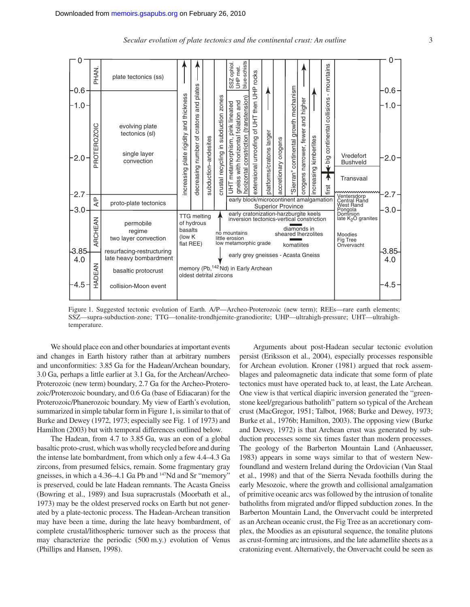

Figure 1. Suggested tectonic evolution of Earth. A/P—Archeo-Proterozoic (new term); REEs—rare earth elements; SSZ—supra-subduction-zone; TTG—tonalite-trondhjemite-granodiorite; UHP—ultrahigh-pressure; UHT—ultrahightemperature.

We should place eon and other boundaries at important events and changes in Earth history rather than at arbitrary numbers and unconformities: 3.85 Ga for the Hadean/Archean boundary, 3.0 Ga, perhaps a little earlier at 3.1 Ga, for the Archean/Archeo-Proterozoic (new term) boundary, 2.7 Ga for the Archeo-Proterozoic/Proterozoic boundary, and 0.6 Ga (base of Ediacaran) for the Proterozoic/Phanerozoic boundary. My view of Earth's evolution, summarized in simple tabular form in Figure 1, is similar to that of Burke and Dewey (1972, 1973; especially see Fig. 1 of 1973) and Hamilton (2003) but with temporal differences outlined below.

The Hadean, from 4.7 to 3.85 Ga, was an eon of a global basaltic proto-crust, which was wholly recycled before and during the intense late bombardment, from which only a few 4.4–4.3 Ga zircons, from presumed felsics, remain. Some fragmentary gray gneisses, in which a 4.36–4.1 Ga Pb and 147Nd and Sr "memory" is preserved, could be late Hadean remnants. The Acasta Gneiss (Bowring et al., 1989) and Isua supracrustals (Moorbath et al., 1973) may be the oldest preserved rocks on Earth but not generated by a plate-tectonic process. The Hadean-Archean transition may have been a time, during the late heavy bombardment, of complete crustal/lithospheric turnover such as the process that may characterize the periodic (500 m.y.) evolution of Venus (Phillips and Hansen, 1998).

Arguments about post-Hadean secular tectonic evolution persist (Eriksson et al., 2004), especially processes responsible for Archean evolution. Kroner (1981) argued that rock assemblages and paleomagnetic data indicate that some form of plate tectonics must have operated back to, at least, the Late Archean. One view is that vertical diapiric inversion generated the "greenstone keel/gregarious batholith" pattern so typical of the Archean crust (MacGregor, 1951; Talbot, 1968; Burke and Dewey, 1973; Burke et al., 1976b; Hamilton, 2003). The opposing view (Burke and Dewey, 1972) is that Archean crust was generated by subduction processes some six times faster than modern processes. The geology of the Barberton Mountain Land (Anhaeusser, 1983) appears in some ways similar to that of western Newfoundland and western Ireland during the Ordovician (Van Staal et al., 1998) and that of the Sierra Nevada foothills during the early Mesozoic, where the growth and collisional amalgamation of primitive oceanic arcs was followed by the intrusion of tonalite batholiths from migrated and/or flipped subduction zones. In the Barberton Mountain Land, the Onvervacht could be interpreted as an Archean oceanic crust, the Fig Tree as an accretionary complex, the Moodies as an episutural sequence, the tonalite plutons as crust-forming arc intrusions, and the late adamellite sheets as a cratonizing event. Alternatively, the Onvervacht could be seen as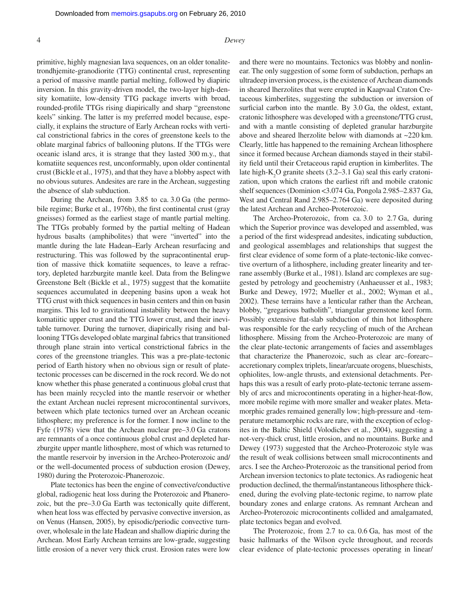#### 4 *Dewey*

primitive, highly magnesian lava sequences, on an older tonalitetrondhjemite-granodiorite (TTG) continental crust, representing a period of massive mantle partial melting, followed by diapiric inversion. In this gravity-driven model, the two-layer high-density komatiite, low-density TTG package inverts with broad, rounded-profile TTGs rising diapirically and sharp "greenstone" keels" sinking. The latter is my preferred model because, especially, it explains the structure of Early Archean rocks with vertical constrictional fabrics in the cores of greenstone keels to the oblate marginal fabrics of ballooning plutons. If the TTGs were oceanic island arcs, it is strange that they lasted 300 m.y., that komatiite sequences rest, unconformably, upon older continental crust (Bickle et al., 1975), and that they have a blobby aspect with no obvious sutures. Andesites are rare in the Archean, suggesting the absence of slab subduction.

During the Archean, from 3.85 to ca. 3.0 Ga (the permobile regime; Burke et al., 1976b), the first continental crust (gray gneisses) formed as the earliest stage of mantle partial melting. The TTGs probably formed by the partial melting of Hadean hydrous basalts (amphibolites) that were "inverted" into the mantle during the late Hadean–Early Archean resurfacing and restructuring. This was followed by the supracontinental eruption of massive thick komatiite sequences, to leave a refractory, depleted harzburgite mantle keel. Data from the Belingwe Greenstone Belt (Bickle et al., 1975) suggest that the komatiite sequences accumulated in deepening basins upon a weak hot TTG crust with thick sequences in basin centers and thin on basin margins. This led to gravitational instability between the heavy komatiitic upper crust and the TTG lower crust, and their inevitable turnover. During the turnover, diapirically rising and ballooning TTGs developed oblate marginal fabrics that transitioned through plane strain into vertical constrictional fabrics in the cores of the greenstone triangles. This was a pre-plate-tectonic period of Earth history when no obvious sign or result of platetectonic processes can be discerned in the rock record. We do not know whether this phase generated a continuous global crust that has been mainly recycled into the mantle reservoir or whether the extant Archean nuclei represent microcontinental survivors, between which plate tectonics turned over an Archean oceanic lithosphere; my preference is for the former. I now incline to the Fyfe (1978) view that the Archean nuclear pre–3.0 Ga cratons are remnants of a once continuous global crust and depleted harzburgite upper mantle lithosphere, most of which was returned to the mantle reservoir by inversion in the Archeo-Proterozoic and/ or the well-documented process of subduction erosion (Dewey, 1980) during the Proterozoic-Phanerozoic.

Plate tectonics has been the engine of convective/conductive global, radiogenic heat loss during the Proterozoic and Phanerozoic, but the pre–3.0 Ga Earth was tectonically quite different, when heat loss was effected by pervasive convective inversion, as on Venus (Hansen, 2005), by episodic/periodic convective turnover, wholesale in the late Hadean and shallow diapiric during the Archean. Most Early Archean terrains are low-grade, suggesting little erosion of a never very thick crust. Erosion rates were low

and there were no mountains. Tectonics was blobby and nonlinear. The only suggestion of some form of subduction, perhaps an ultradeep inversion process, is the existence of Archean diamonds in sheared lherzolites that were erupted in Kaapvaal Craton Cretaceous kimberlites, suggesting the subduction or inversion of surficial carbon into the mantle. By 3.0 Ga, the oldest, extant, cratonic lithosphere was developed with a greenstone/TTG crust, and with a mantle consisting of depleted granular harzburgite above and sheared lherzolite below with diamonds at ~220 km. Clearly, little has happened to the remaining Archean lithosphere since it formed because Archean diamonds stayed in their stability field until their Cretaceous rapid eruption in kimberlites. The late high- $K_2O$  granite sheets (3.2–3.1 Ga) seal this early cratonization, upon which cratons the earliest rift and mobile cratonic shelf sequences (Dominion <3.074 Ga, Pongola 2.985–2.837 Ga, West and Central Rand 2.985–2.764 Ga) were deposited during the latest Archean and Archeo-Proterozoic.

The Archeo-Proterozoic, from ca. 3.0 to 2.7 Ga, during which the Superior province was developed and assembled, was a period of the first widespread andesites, indicating subduction, and geological assemblages and relationships that suggest the first clear evidence of some form of a plate-tectonic-like convective overturn of a lithosphere, including greater linearity and terrane assembly (Burke et al., 1981). Island arc complexes are suggested by petrology and geochemistry (Anhaeusser et al., 1983; Burke and Dewey, 1972; Mueller et al., 2002; Wyman et al., 2002). These terrains have a lenticular rather than the Archean, blobby, "gregarious batholith", triangular greenstone keel form. Possibly extensive flat-slab subduction of thin hot lithosphere was responsible for the early recycling of much of the Archean lithosphere. Missing from the Archeo-Proterozoic are many of the clear plate-tectonic arrangements of facies and assemblages that characterize the Phanerozoic, such as clear arc–forearc– accretionary complex triplets, linear/arcuate orogens, blueschists, ophiolites, low-angle thrusts, and extensional detachments. Perhaps this was a result of early proto-plate-tectonic terrane assembly of arcs and microcontinents operating in a higher-heat-flow, more mobile regime with more smaller and weaker plates. Metamorphic grades remained generally low; high-pressure and -temperature metamorphic rocks are rare, with the exception of eclogites in the Baltic Shield (Volodichev et al., 2004), suggesting a not-very-thick crust, little erosion, and no mountains. Burke and Dewey (1973) suggested that the Archeo-Proterozoic style was the result of weak collisions between small microcontinents and arcs. I see the Archeo-Proterozoic as the transitional period from Archean inversion tectonics to plate tectonics. As radiogenic heat production declined, the thermal/instantaneous lithosphere thickened, during the evolving plate-tectonic regime, to narrow plate boundary zones and enlarge cratons. As remnant Archean and Archeo-Proterozoic microcontinents collided and amalgamated, plate tectonics began and evolved.

The Proterozoic, from 2.7 to ca. 0.6 Ga, has most of the basic hallmarks of the Wilson cycle throughout, and records clear evidence of plate-tectonic processes operating in linear/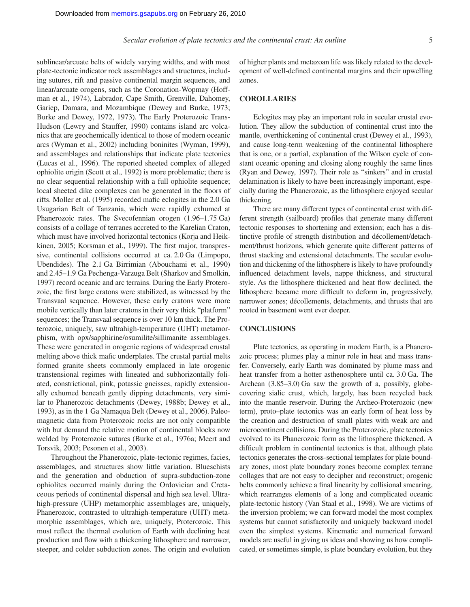sublinear/arcuate belts of widely varying widths, and with most plate-tectonic indicator rock assemblages and structures, including sutures, rift and passive continental margin sequences, and linear/arcuate orogens, such as the Coronation-Wopmay (Hoffman et al., 1974), Labrador, Cape Smith, Grenville, Dahomey, Gariep, Damara, and Mozambique (Dewey and Burke, 1973; Burke and Dewey, 1972, 1973). The Early Proterozoic Trans-Hudson (Lewry and Stauffer, 1990) contains island arc volcanics that are geochemically identical to those of modern oceanic arcs (Wyman et al., 2002) including boninites (Wyman, 1999), and assemblages and relationships that indicate plate tectonics (Lucas et al., 1996). The reported sheeted complex of alleged ophiolite origin (Scott et al., 1992) is more problematic; there is no clear sequential relationship with a full ophiolite sequence; local sheeted dike complexes can be generated in the floors of rifts. Moller et al. (1995) recorded mafic eclogites in the 2.0 Ga Usugarian Belt of Tanzania, which were rapidly exhumed at Phanerozoic rates. The Svecofennian orogen (1.96–1.75 Ga) consists of a collage of terranes accreted to the Karelian Craton, which must have involved horizontal tectonics (Korja and Heikkinen, 2005; Korsman et al., 1999). The first major, transpressive, continental collisions occurred at ca. 2.0 Ga (Limpopo, Ubendides). The 2.1 Ga Birrimian (Abouchami et al., 1990) and 2.45–1.9 Ga Pechenga-Varzuga Belt (Sharkov and Smolkin, 1997) record oceanic and arc terrains. During the Early Proterozoic, the first large cratons were stabilized, as witnessed by the Transvaal sequence. However, these early cratons were more mobile vertically than later cratons in their very thick "platform" sequences; the Transvaal sequence is over 10 km thick. The Proterozoic, uniquely, saw ultrahigh-temperature (UHT) metamorphism, with opx/sapphirine/osumilite/sillimanite assemblages. These were generated in orogenic regions of widespread crustal melting above thick mafic underplates. The crustal partial melts formed granite sheets commonly emplaced in late orogenic transtensional regimes with lineated and subhorizontally foliated, constrictional, pink, potassic gneisses, rapidly extensionally exhumed beneath gently dipping detachments, very similar to Phanerozoic detachments (Dewey, 1988b; Dewey et al., 1993), as in the 1 Ga Namaqua Belt (Dewey et al., 2006). Paleomagnetic data from Proterozoic rocks are not only compatible with but demand the relative motion of continental blocks now welded by Proterozoic sutures (Burke et al., 1976a; Meert and Torsvik, 2003; Pesonen et al., 2003).

Throughout the Phanerozoic, plate-tectonic regimes, facies, assemblages, and structures show little variation. Blueschists and the generation and obduction of supra-subduction-zone ophiolites occurred mainly during the Ordovician and Cretaceous periods of continental dispersal and high sea level. Ultrahigh-pressure (UHP) metamorphic assemblages are, uniquely, Phanerozoic, contrasted to ultrahigh-temperature (UHT) metamorphic assemblages, which are, uniquely, Proterozoic. This must reflect the thermal evolution of Earth with declining heat production and flow with a thickening lithosphere and narrower, steeper, and colder subduction zones. The origin and evolution

of higher plants and metazoan life was likely related to the development of well-defined continental margins and their upwelling zones.

#### **COROLLARIES**

Eclogites may play an important role in secular crustal evolution. They allow the subduction of continental crust into the mantle, overthickening of continental crust (Dewey et al., 1993), and cause long-term weakening of the continental lithosphere that is one, or a partial, explanation of the Wilson cycle of constant oceanic opening and closing along roughly the same lines (Ryan and Dewey, 1997). Their role as "sinkers" and in crustal delamination is likely to have been increasingly important, especially during the Phanerozoic, as the lithosphere enjoyed secular thickening.

There are many different types of continental crust with different strength (sailboard) profiles that generate many different tectonic responses to shortening and extension; each has a distinctive profile of strength distribution and décollement/detachment/thrust horizons, which generate quite different patterns of thrust stacking and extensional detachments. The secular evolution and thickening of the lithosphere is likely to have profoundly influenced detachment levels, nappe thickness, and structural style. As the lithosphere thickened and heat flow declined, the lithosphere became more difficult to deform in, progressively, narrower zones; décollements, detachments, and thrusts that are rooted in basement went ever deeper.

#### **CONCLUSIONS**

Plate tectonics, as operating in modern Earth, is a Phanerozoic process; plumes play a minor role in heat and mass transfer. Conversely, early Earth was dominated by plume mass and heat transfer from a hotter asthenosphere until ca. 3.0 Ga. The Archean (3.85–3.0) Ga saw the growth of a, possibly, globecovering sialic crust, which, largely, has been recycled back into the mantle reservoir. During the Archeo-Proterozoic (new term), proto–plate tectonics was an early form of heat loss by the creation and destruction of small plates with weak arc and microcontinent collisions. During the Proterozoic, plate tectonics evolved to its Phanerozoic form as the lithosphere thickened. A difficult problem in continental tectonics is that, although plate tectonics generates the cross-sectional templates for plate boundary zones, most plate boundary zones become complex terrane collages that are not easy to decipher and reconstruct; orogenic belts commonly achieve a final linearity by collisional smearing, which rearranges elements of a long and complicated oceanic plate-tectonic history (Van Staal et al., 1998). We are victims of the inversion problem; we can forward model the most complex systems but cannot satisfactorily and uniquely backward model even the simplest systems. Kinematic and numerical forward models are useful in giving us ideas and showing us how complicated, or sometimes simple, is plate boundary evolution, but they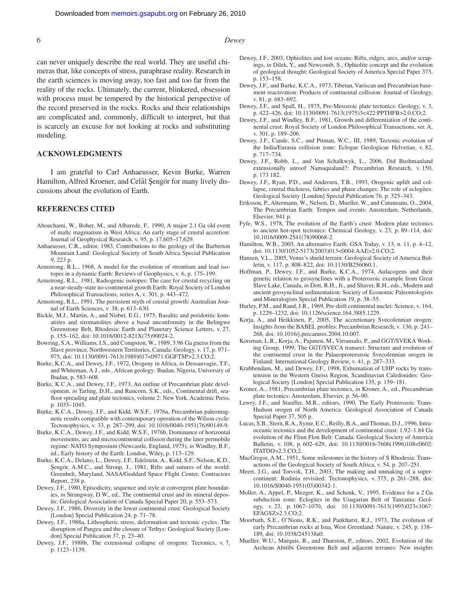#### 6 *Dewey*

can never uniquely describe the real world. They are useful chimeras that, like concepts of stress, paraphrase reality. Research in the earth sciences is moving away, too fast and too far from the reality of the rocks. Ultimately, the current, blinkered, obsession with process must be tempered by the historical perspective of the record preserved in the rocks. Rocks and their relationships are complicated and, commonly, difficult to interpret, but that is scarcely an excuse for not looking at rocks and substituting modeling.

#### **ACKNOWLEDGMENTS**

I am grateful to Carl Anhaeusser, Kevin Burke, Warren Hamilton, Alfred Kroener, and Celâl Şengör for many lively discussions about the evolution of Earth.

#### **REFERENCES CITED**

- Abouchami, W., Boher, M., and Albarede, F., 1990, A major 2.1 Ga old event of mafic magmatism in West Africa: An early stage of crustal accretion: Journal of Geophysical Research, v. 95, p. 17,605–17,629.
- Anhaeusser, C.R., editor, 1983, Contributions to the geology of the Barberton Mountain Land: Geological Society of South Africa Special Publication 9, 223 p.
- Armstrong, R.L., 1968, A model for the evolution of strontium and lead isotopes in a dynamic Earth: Reviews of Geophysics, v. 6, p. 175–199.
- Armstrong, R.L., 1981, Radiogenic isotopes: The case for crustal recycling on a near-steady-state no-continental growth Earth: Royal Society of London Philosophical Transactions, series A, v. 301, p. 443–472.
- Armstrong, R.L., 1991, The persistent myth of crustal growth: Australian Journal of Earth Sciences, v. 38, p. 613–630.
- Bickle, M.J., Martin, A., and Nisbet, E.G., 1975, Basaltic and peridotitic komatiites and stromatolites above a basal unconformity in the Belingwe Greenstone Belt, Rhodesia: Earth and Planetary Science Letters, v. 27, p. 155–162, doi: 10.1016/0012-821X(75)90024-2.
- Bowring, S.A., Williams, I.S., and Compston, W., 1989, 3.96 Ga gneiss from the Slave province, Northwestern Territories, Canada: Geology, v. 17, p. 971– 975, doi: 10.1130/0091-7613(1989)017<0971:GGFTSP>2.3.CO;2.
- Burke, K.C.A., and Dewey, J.F., 1972, Orogeny in Africa, *in* Dessauvagie, T.F., and Whiteman, A.J., eds., African geology: Ibadan, Nigeria, University of Ibadan, p. 583–608.
- Burke, K.C.A., and Dewey, J.F., 1973, An outline of Precambrian plate development, *in* Tarling, D.H., and Runcorn, S.K., eds., Continental drift, seafloor spreading and plate tectonics, volume 2: New York, Academic Press, p. 1035–1045.
- Burke, K.C.A., Dewey, J.F., and Kidd, W.S.F., 1976a, Precambrian paleomagnetic results compatible with contemporary operation of the Wilson cycle: Tectonophysics, v. 33, p. 287–299, doi: 10.1016/0040-1951(76)90149-9.
- Burke, K.C.A., Dewey, J.F., and Kidd, W.S.F., 1976b, Dominance of horizontal movements, arc and microcontinental collision during the later permobile regime: NATO Symposium (Newcastle, England, 1975), *in* Windley, B.F., ed., Early history of the Earth: London, Wiley, p. 113–129.
- Burke, K.C.A., Delano, L., Dewey, J.F., Edelstein, A., Kidd, S.F., Nelson, K.D., Şengör, A.M.C., and Stroup, J., 1981, Rifts and sutures of the world: Greenbelt, Maryland, NASA/Goddard Space Flight Center, Contractors Report, 238 p.
- Dewey, J.F., 1980, Episodicity, sequence and style at convergent plate boundaries, *in* Strangway, D.W., ed., The continental crust and its mineral deposits: Geological Association of Canada Special Paper 20, p. 553–573.
- Dewey, J.F., 1986, Diversity in the lower continental crust: Geological Society [London] Special Publication 24, p. 71–78.
- Dewey, J.F., 1988a, Lithospheric stress, deformation and tectonic cycles: The disruption of Pangea and the closure of Tethys: Geological Society [London] Special Publication 37, p. 23–40.
- Dewey, J.F., 1988b, The extensional collapse of orogens: Tectonics, v. 7, p. 1123–1139.
- Dewey, J.F., 2003, Ophiolites and lost oceans: Rifts, ridges, arcs, and/or scrapings, *in* Dilek, Y., and Newcomb, S., Ophiolite concept and the evolution of geological thought: Geological Society of America Special Paper 373, p. 153–158.
- Dewey, J.F., and Burke, K.C.A., 1973, Tibetan, Variscan and Precambrian basement reactivation: Products of continental collision: Journal of Geology, v. 81, p. 683–692.
- Dewey, J.F., and Spall, H., 1975, Pre-Mesozoic plate tectonics: Geology, v. 3, p. 422–426, doi: 10.1130/0091-7613(1975)3<422:PPTHFB>2.0.CO;2.
- Dewey, J.F., and Windley, B.F., 1981, Growth and differentiation of the continental crust: Royal Society of London Philosophical Transactions, ser. A, v. 301, p. 189–206.
- Dewey, J.F., Cande, S.C., and Pitman, W.C., III, 1989, Tectonic evolution of the India/Eurasia collision zone: Eclogae Geologicae Helvetiae, v. 82, p. 717–734.
- Dewey, J.F., Robb, L., and Van Schalkwyk, L., 2006, Did Bushmanland extensionally unroof Namaqualand?: Precambrian Research, v. 150, p. 173 182.
- Dewey, J.F., Ryan, P.D., and Andersen, T.B., 1993, Orogenic uplift and collapse, crustal thickness, fabrics and phase changes: The role of eclogites: Geological Society [London] Special Publication 76, p. 325–343.
- Eriksson, P., Altermann, W., Nelson, D., Mueller, W., and Catuneanu, O., 2004, The Precambrian Earth: Tempos and events: Amsterdam, Netherlands, Elsevier, 941 p.
- Fyfe, W.S., 1978, The evolution of the Earth's crust: Modern plate tectonics to ancient hot-spot tectonics: Chemical Geology, v. 23, p. 89–114, doi: 10.1016/0009-2541(78)90068-2.
- Hamilton, W.B., 2003, An alternative Earth: GSA Today, v. 13, n. 11, p. 4–12, doi: 10.1130/1052-5173(2003)013<0004:AAE>2.0.CO;2.
- Hansen, V.L., 2005, Venus's shield terrain: Geological Society of America Bulletin, v. 117, p. 808–822, doi: 10.1130/B256060.1.
- Hoffman, P., Dewey, J.F., and Burke, K.C.A., 1974, Aulacogens and their genetic relation to geosynclines with a Proterozoic example from Great Slave Lake, Canada, *in* Dott, R.H., Jr., and Shaver, R.H., eds., Modern and ancient geosynclinal sedimentation: Society of Economic Paleontologists and Mineralogists Special Publication 19, p. 38–55.
- Hurley, P.M., and Rand, J.R., 1969, Pre-drift continental nuclei: Science, v. 164, p. 1229–1232, doi: 10.1126/science.164.3885.1229.
- Korja, A., and Heikkinen, P., 2005, The accretionary Svecofennian orogen: Insights from the BABEL profiles: Precambrian Research, v. 136, p. 241– 268, doi: 10.1016/j.precamres.2004.10.007.
- Korsman, L.R., Korja, A., Pajunen, M., Virransalo, P., and GGT/SVEKA Working Group, 1999, The GGT/SVECA transect: Structure and evolution of the continental crust in the Palaeoproterozoic Svecofennian orogen in Finland: International Geology Review, v. 41, p. 287–333.
- Krabbendam, M., and Dewey, J.F., 1998, Exhumation of UHP rocks by transtension in the Western Gneiss Region, Scandinavian Caledonides: Geological Society [London] Special Publication 135, p. 159–181.
- Kroner, A., 1981, Precambrian plate tectonics, *in* Kroner, A., ed., Precambrian plate tectonics: Amsterdam, Elsevier, p. 56–90.
- Lewry, J.F., and Stauffer, M.R., editors, 1990, The Early Proterozoic Trans-Hudson orogen of North America: Geological Association of Canada Special Paper 37, 505 p.
- Lucas, S.B., Stern, R.A., Syme, E.C., Reilly, B.A., and Thomas, D.J., 1996, Intraoceanic tectonics and the development of continental crust: 1.92–1.84 Ga evolution of the Flinn Flon Belt: Canada: Geological Society of America Bulletin, v. 108, p. 602–629, doi: 10.1130/0016-7606(1996)108<0602: ITATDO>2.3.CO;2.
- MacGregor, A.M., 1951, Some milestones in the history of S Rhodesia: Transactions of the Geological Society of South Africa, v. 54, p. 207–251.
- Meert, J.G., and Torsvik, T.H., 2003, The making and unmaking of a supercontinent: Rodinia revisited: Tectonophysics, v. 375, p. 261–288, doi: 10.1016/S0040-1951(03)00342-1.
- Moller, A., Appel, P., Mezger, K., and Schenk, V., 1995, Evidence for a 2 Ga subduction zone: Eclogites in the Usugarian Belt of Tanzania: Geology, v. 23, p. 1067–1070, doi: 10.1130/0091-7613(1995)023<1067: EFAGSZ>2.3.CO;2.
- Moorbath, S.E., O'Nions, R.K., and Pankhurst, R.J., 1973, The evolution of early Precambrian rocks at Isua, West Greenland: Nature, v. 245, p. 138– 189, doi: 10.1038/245138a0.
- Mueller, W.U., Marquis, R., and Thurston, P., editors, 2002, Evolution of the Archean Abitibi Greenstone Belt and adjacent terranes: New insights